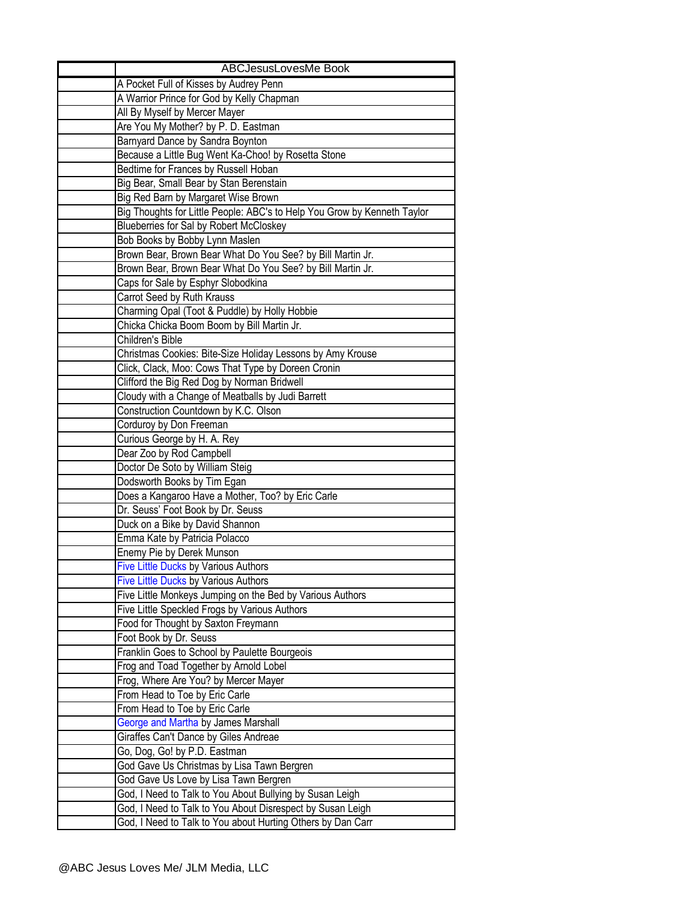| <b>ABCJesusLovesMe Book</b>                                                                                            |
|------------------------------------------------------------------------------------------------------------------------|
| A Pocket Full of Kisses by Audrey Penn                                                                                 |
| A Warrior Prince for God by Kelly Chapman                                                                              |
| All By Myself by Mercer Mayer                                                                                          |
| Are You My Mother? by P. D. Eastman                                                                                    |
| Barnyard Dance by Sandra Boynton                                                                                       |
| Because a Little Bug Went Ka-Choo! by Rosetta Stone                                                                    |
| Bedtime for Frances by Russell Hoban                                                                                   |
| Big Bear, Small Bear by Stan Berenstain                                                                                |
| Big Red Barn by Margaret Wise Brown                                                                                    |
| Big Thoughts for Little People: ABC's to Help You Grow by Kenneth Taylor                                               |
| Blueberries for Sal by Robert McCloskey                                                                                |
| Bob Books by Bobby Lynn Maslen                                                                                         |
| Brown Bear, Brown Bear What Do You See? by Bill Martin Jr.                                                             |
| Brown Bear, Brown Bear What Do You See? by Bill Martin Jr.                                                             |
| Caps for Sale by Esphyr Slobodkina                                                                                     |
| Carrot Seed by Ruth Krauss                                                                                             |
| Charming Opal (Toot & Puddle) by Holly Hobbie                                                                          |
| Chicka Chicka Boom Boom by Bill Martin Jr.                                                                             |
| Children's Bible                                                                                                       |
| Christmas Cookies: Bite-Size Holiday Lessons by Amy Krouse                                                             |
| Click, Clack, Moo: Cows That Type by Doreen Cronin                                                                     |
| Clifford the Big Red Dog by Norman Bridwell                                                                            |
| Cloudy with a Change of Meatballs by Judi Barrett                                                                      |
| Construction Countdown by K.C. Olson                                                                                   |
| Corduroy by Don Freeman                                                                                                |
| Curious George by H. A. Rey                                                                                            |
| Dear Zoo by Rod Campbell                                                                                               |
| Doctor De Soto by William Steig                                                                                        |
| Dodsworth Books by Tim Egan                                                                                            |
| Does a Kangaroo Have a Mother, Too? by Eric Carle                                                                      |
| Dr. Seuss' Foot Book by Dr. Seuss                                                                                      |
| Duck on a Bike by David Shannon                                                                                        |
| Emma Kate by Patricia Polacco                                                                                          |
| Enemy Pie by Derek Munson                                                                                              |
| <b>Five Little Ducks by Various Authors</b>                                                                            |
| <b>Five Little Ducks by Various Authors</b>                                                                            |
| Five Little Monkeys Jumping on the Bed by Various Authors                                                              |
| Five Little Speckled Frogs by Various Authors                                                                          |
| Food for Thought by Saxton Freymann                                                                                    |
| Foot Book by Dr. Seuss                                                                                                 |
| Franklin Goes to School by Paulette Bourgeois                                                                          |
| Frog and Toad Together by Arnold Lobel                                                                                 |
| Frog, Where Are You? by Mercer Mayer                                                                                   |
| From Head to Toe by Eric Carle                                                                                         |
| From Head to Toe by Eric Carle                                                                                         |
| George and Martha by James Marshall                                                                                    |
| Giraffes Can't Dance by Giles Andreae                                                                                  |
| Go, Dog, Go! by P.D. Eastman                                                                                           |
| God Gave Us Christmas by Lisa Tawn Bergren                                                                             |
| God Gave Us Love by Lisa Tawn Bergren                                                                                  |
| God, I Need to Talk to You About Bullying by Susan Leigh<br>God, I Need to Talk to You About Disrespect by Susan Leigh |
| God, I Need to Talk to You about Hurting Others by Dan Carr                                                            |
|                                                                                                                        |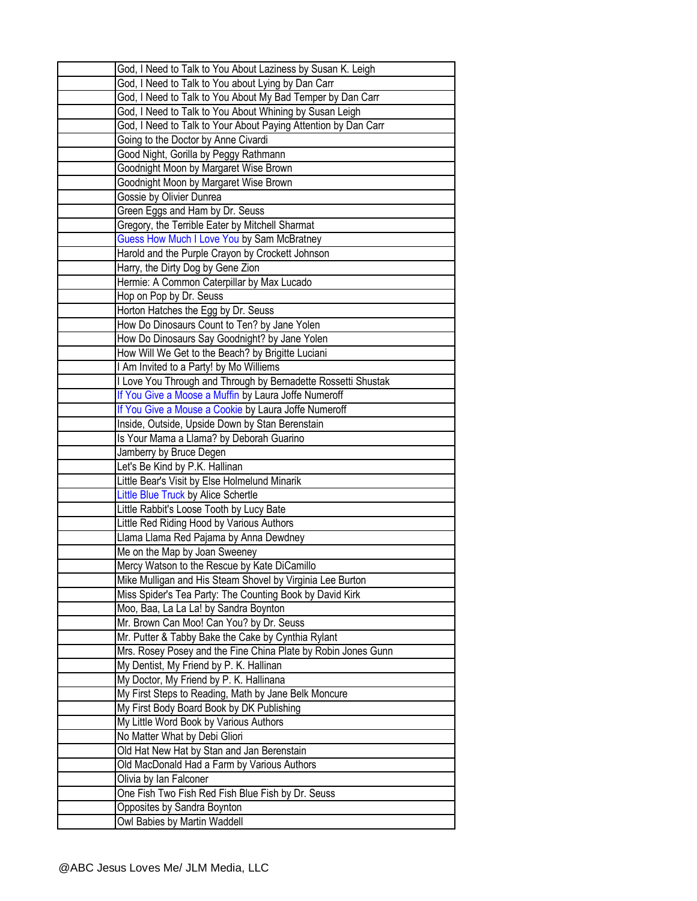| God, I Need to Talk to You About Laziness by Susan K. Leigh    |
|----------------------------------------------------------------|
| God, I Need to Talk to You about Lying by Dan Carr             |
| God, I Need to Talk to You About My Bad Temper by Dan Carr     |
| God, I Need to Talk to You About Whining by Susan Leigh        |
| God, I Need to Talk to Your About Paying Attention by Dan Carr |
| Going to the Doctor by Anne Civardi                            |
| Good Night, Gorilla by Peggy Rathmann                          |
| Goodnight Moon by Margaret Wise Brown                          |
| Goodnight Moon by Margaret Wise Brown                          |
| Gossie by Olivier Dunrea                                       |
| Green Eggs and Ham by Dr. Seuss                                |
| Gregory, the Terrible Eater by Mitchell Sharmat                |
| Guess How Much I Love You by Sam McBratney                     |
| Harold and the Purple Crayon by Crockett Johnson               |
| Harry, the Dirty Dog by Gene Zion                              |
| Hermie: A Common Caterpillar by Max Lucado                     |
|                                                                |
| Hop on Pop by Dr. Seuss<br>Horton Hatches the Egg by Dr. Seuss |
| How Do Dinosaurs Count to Ten? by Jane Yolen                   |
|                                                                |
| How Do Dinosaurs Say Goodnight? by Jane Yolen                  |
| How Will We Get to the Beach? by Brigitte Luciani              |
| I Am Invited to a Party! by Mo Williems                        |
| I Love You Through and Through by Bernadette Rossetti Shustak  |
| If You Give a Moose a Muffin by Laura Joffe Numeroff           |
| If You Give a Mouse a Cookie by Laura Joffe Numeroff           |
| Inside, Outside, Upside Down by Stan Berenstain                |
| Is Your Mama a Llama? by Deborah Guarino                       |
|                                                                |
| Jamberry by Bruce Degen                                        |
| Let's Be Kind by P.K. Hallinan                                 |
| Little Bear's Visit by Else Holmelund Minarik                  |
| Little Blue Truck by Alice Schertle                            |
| Little Rabbit's Loose Tooth by Lucy Bate                       |
| Little Red Riding Hood by Various Authors                      |
| Llama Llama Red Pajama by Anna Dewdney                         |
| Me on the Map by Joan Sweeney                                  |
| Mercy Watson to the Rescue by Kate DiCamillo                   |
| Mike Mulligan and His Steam Shovel by Virginia Lee Burton      |
| Miss Spider's Tea Party: The Counting Book by David Kirk       |
| Moo, Baa, La La La! by Sandra Boynton                          |
| Mr. Brown Can Moo! Can You? by Dr. Seuss                       |
| Mr. Putter & Tabby Bake the Cake by Cynthia Rylant             |
| Mrs. Rosey Posey and the Fine China Plate by Robin Jones Gunn  |
| My Dentist, My Friend by P. K. Hallinan                        |
| My Doctor, My Friend by P. K. Hallinana                        |
| My First Steps to Reading, Math by Jane Belk Moncure           |
| My First Body Board Book by DK Publishing                      |
| My Little Word Book by Various Authors                         |
| No Matter What by Debi Gliori                                  |
| Old Hat New Hat by Stan and Jan Berenstain                     |
| Old MacDonald Had a Farm by Various Authors                    |
| Olivia by Ian Falconer                                         |
| One Fish Two Fish Red Fish Blue Fish by Dr. Seuss              |
| Opposites by Sandra Boynton<br>Owl Babies by Martin Waddell    |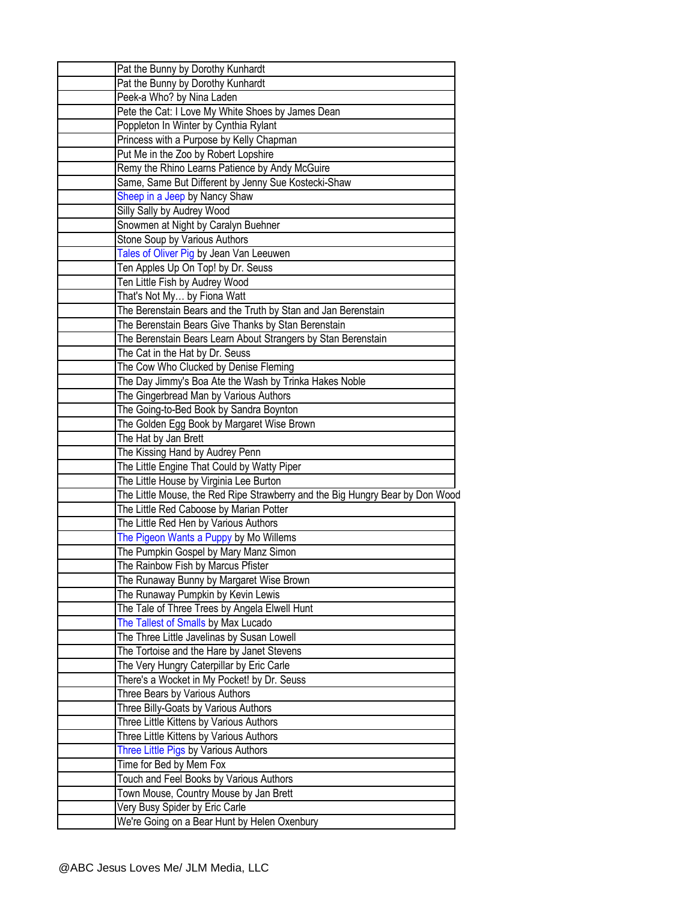| Pat the Bunny by Dorothy Kunhardt                                             |
|-------------------------------------------------------------------------------|
| Pat the Bunny by Dorothy Kunhardt                                             |
| Peek-a Who? by Nina Laden                                                     |
| Pete the Cat: I Love My White Shoes by James Dean                             |
| Poppleton In Winter by Cynthia Rylant                                         |
| Princess with a Purpose by Kelly Chapman                                      |
| Put Me in the Zoo by Robert Lopshire                                          |
| Remy the Rhino Learns Patience by Andy McGuire                                |
| Same, Same But Different by Jenny Sue Kostecki-Shaw                           |
| Sheep in a Jeep by Nancy Shaw                                                 |
| Silly Sally by Audrey Wood                                                    |
| Snowmen at Night by Caralyn Buehner                                           |
| Stone Soup by Various Authors                                                 |
| Tales of Oliver Pig by Jean Van Leeuwen                                       |
| Ten Apples Up On Top! by Dr. Seuss                                            |
| Ten Little Fish by Audrey Wood                                                |
| That's Not My by Fiona Watt                                                   |
| The Berenstain Bears and the Truth by Stan and Jan Berenstain                 |
| The Berenstain Bears Give Thanks by Stan Berenstain                           |
|                                                                               |
| The Berenstain Bears Learn About Strangers by Stan Berenstain                 |
| The Cat in the Hat by Dr. Seuss                                               |
| The Cow Who Clucked by Denise Fleming                                         |
| The Day Jimmy's Boa Ate the Wash by Trinka Hakes Noble                        |
| The Gingerbread Man by Various Authors                                        |
| The Going-to-Bed Book by Sandra Boynton                                       |
| The Golden Egg Book by Margaret Wise Brown                                    |
| The Hat by Jan Brett                                                          |
| The Kissing Hand by Audrey Penn                                               |
| The Little Engine That Could by Watty Piper                                   |
| The Little House by Virginia Lee Burton                                       |
| The Little Mouse, the Red Ripe Strawberry and the Big Hungry Bear by Don Wood |
| The Little Red Caboose by Marian Potter                                       |
| The Little Red Hen by Various Authors                                         |
| The Pigeon Wants a Puppy by Mo Willems                                        |
| The Pumpkin Gospel by Mary Manz Simon                                         |
| The Rainbow Fish by Marcus Pfister                                            |
| The Runaway Bunny by Margaret Wise Brown                                      |
| The Runaway Pumpkin by Kevin Lewis                                            |
| The Tale of Three Trees by Angela Elwell Hunt                                 |
| The Tallest of Smalls by Max Lucado                                           |
| The Three Little Javelinas by Susan Lowell                                    |
| The Tortoise and the Hare by Janet Stevens                                    |
| The Very Hungry Caterpillar by Eric Carle                                     |
| There's a Wocket in My Pocket! by Dr. Seuss                                   |
| Three Bears by Various Authors                                                |
| Three Billy-Goats by Various Authors                                          |
| Three Little Kittens by Various Authors                                       |
| Three Little Kittens by Various Authors                                       |
| Three Little Pigs by Various Authors                                          |
| Time for Bed by Mem Fox                                                       |
| Touch and Feel Books by Various Authors                                       |
| Town Mouse, Country Mouse by Jan Brett                                        |
| Very Busy Spider by Eric Carle                                                |
| We're Going on a Bear Hunt by Helen Oxenbury                                  |
|                                                                               |